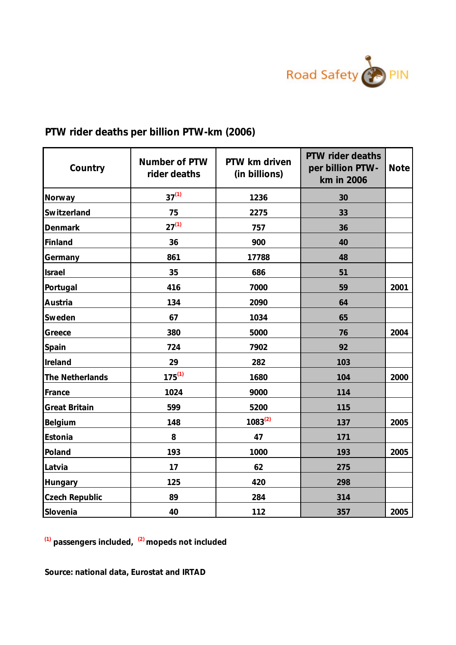

## **PTW rider deaths per billion PTW-km (2006)**

| Country         | Number of PTW<br>rider deaths | PTW km driven<br>(in billions) | PTW rider deaths<br>per billion PTW-<br>km in 2006 | Note |
|-----------------|-------------------------------|--------------------------------|----------------------------------------------------|------|
| Norway          | $37^{(1)}$                    | 1236                           | 30                                                 |      |
| Switzerland     | 75                            | 2275                           | 33                                                 |      |
| Denmark         | $27^{(1)}$                    | 757                            | 36                                                 |      |
| Finland         | 36                            | 900                            | 40                                                 |      |
| Germany         | 861                           | 17788                          | 48                                                 |      |
| Israel          | 35                            | 686                            | 51                                                 |      |
| Portugal        | 416                           | 7000                           | 59                                                 | 2001 |
| Austria         | 134                           | 2090                           | 64                                                 |      |
| Sweden          | 67                            | 1034                           | 65                                                 |      |
| Greece          | 380                           | 5000                           | 76                                                 | 2004 |
| Spain           | 724                           | 7902                           | 92                                                 |      |
| Ireland         | 29                            | 282                            | 103                                                |      |
| The Netherlands | $175^{(1)}$                   | 1680                           | 104                                                | 2000 |
| France          | 1024                          | 9000                           | 114                                                |      |
| Great Britain   | 599                           | 5200                           | 115                                                |      |
| Belgium         | 148                           | $1083^{(2)}$                   | 137                                                | 2005 |
| Estonia         | $\,8\,$                       | 47                             | 171                                                |      |
| Poland          | 193                           | 1000                           | 193                                                | 2005 |
| Latvia          | 17                            | 62                             | 275                                                |      |
| Hungary         | 125                           | 420                            | 298                                                |      |
| Czech Republic  | 89                            | 284                            | 314                                                |      |
| Slovenia        | 40                            | 112                            | 357                                                | 2005 |

**(1) passengers included, (2) mopeds not included**

**Source: national data, Eurostat and IRTAD**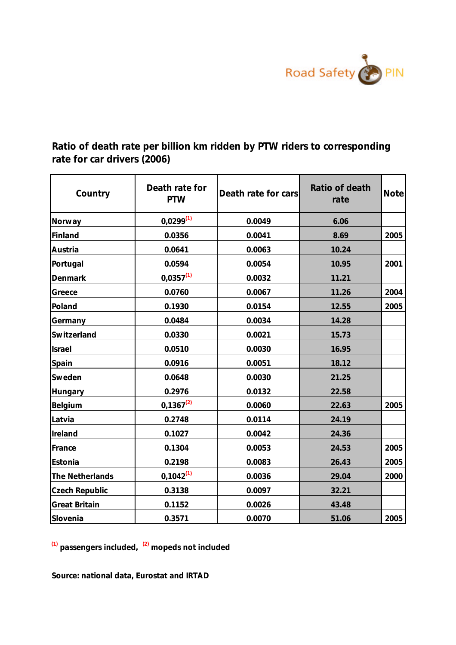

**Ratio of death rate per billion km ridden by PTW riders to corresponding rate for car drivers (2006)**

| Country         | Death rate for<br>PTW | Death rate for cars | Ratio of death<br>rate | Notel |
|-----------------|-----------------------|---------------------|------------------------|-------|
| Norway          | $0,0299^{(1)}$        | 0.0049              | 6.06                   |       |
| Finland         | 0.0356                | 0.0041              | 8.69                   | 2005  |
| Austria         | 0.0641                | 0.0063              | 10.24                  |       |
| Portugal        | 0.0594                | 0.0054              | 10.95                  | 2001  |
| Denmark         | $0,0357^{(1)}$        | 0.0032              | 11.21                  |       |
| Greece          | 0.0760                | 0.0067              | 11.26                  | 2004  |
| Poland          | 0.1930                | 0.0154              | 12.55                  | 2005  |
| Germany         | 0.0484                | 0.0034              | 14.28                  |       |
| Switzerland     | 0.0330                | 0.0021              | 15.73                  |       |
| Israel          | 0.0510                | 0.0030              | 16.95                  |       |
| Spain           | 0.0916                | 0.0051              | 18.12                  |       |
| Sweden          | 0.0648                | 0.0030              | 21.25                  |       |
| Hungary         | 0.2976                | 0.0132              | 22.58                  |       |
| Belgium         | $0,1367^{(2)}$        | 0.0060              | 22.63                  | 2005  |
| Latvia          | 0.2748                | 0.0114              | 24.19                  |       |
| Ireland         | 0.1027                | 0.0042              | 24.36                  |       |
| France          | 0.1304                | 0.0053              | 24.53                  | 2005  |
| Estonia         | 0.2198                | 0.0083              | 26.43                  | 2005  |
| The Netherlands | $0,1042^{(1)}$        | 0.0036              | 29.04                  | 2000  |
| Czech Republic  | 0.3138                | 0.0097              | 32.21                  |       |
| Great Britain   | 0.1152                | 0.0026              | 43.48                  |       |
| Slovenia        | 0.3571                | 0.0070              | 51.06                  | 2005  |

**(1) passengers included, (2) mopeds not included**

**Source: national data, Eurostat and IRTAD**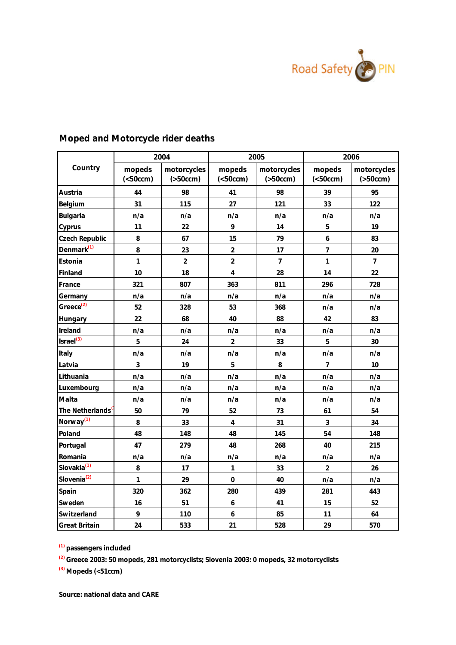

|                         |                                | 2004                     |                                | 2005                     | 2006                           |                          |  |
|-------------------------|--------------------------------|--------------------------|--------------------------------|--------------------------|--------------------------------|--------------------------|--|
| Country                 | mopeds<br>( <sub>50</sub> ccm) | motorcycles<br>( >50ccm) | mopeds<br>( <sub>50</sub> ccm) | motorcycles<br>( >50ccm) | mopeds<br>( <sub>50</sub> ccm) | motorcycles<br>( >50ccm) |  |
| Austria                 | 44                             | 98                       | 41                             | 98                       | 39                             | 95                       |  |
| Belgium                 | 31                             | 115                      | 27                             | 121                      | 33                             | 122                      |  |
| Bulgaria                | n/a                            | n/a                      | n/a                            | n/a                      | n/a                            | n/a                      |  |
| Cyprus                  | 11                             | 22                       | 9                              | 14                       | 5                              | 19                       |  |
| Czech Republic          | 8                              | 67                       | 15                             | 79                       | 6                              | 83                       |  |
| Denmark <sup>(1)</sup>  | 8                              | 23                       | $\overline{2}$                 | 17                       | $\overline{7}$                 | 20                       |  |
| Estonia                 | $\overline{1}$                 | $\overline{2}$           | $\overline{2}$                 | $\overline{\mathcal{I}}$ | $\overline{1}$                 | $\overline{7}$           |  |
| Finland                 | 10                             | 18                       | $\overline{4}$                 | 28                       | 14                             | 22                       |  |
| France                  | 321                            | 807                      | 363                            | 811                      | 296                            | 728                      |  |
| Germany                 | n/a                            | n/a                      | n/a                            | n/a                      | n/a                            | n/a                      |  |
| Greece <sup>(2)</sup>   | 52                             | 328                      | 53                             | 368                      | n/a                            | n/a                      |  |
| Hungary                 | 22                             | 68                       | 40                             | 88                       | 42                             | 83                       |  |
| Ireland                 | n/a                            | n/a                      | n/a                            | n/a                      | n/a                            | n/a                      |  |
| $\textsf{Israel}^{(3)}$ | 5                              | 24                       | $\overline{2}$                 | 33                       | 5                              | 30                       |  |
| Italy                   | n/a                            | n/a                      | n/a                            | n/a                      | n/a                            | n/a                      |  |
| Latvia                  | $\mathbf{3}$                   | 19                       | 5                              | 8                        | $\overline{7}$                 | 10                       |  |
| Lithuania               | n/a                            | n/a                      | n/a                            | n/a                      | n/a                            | n/a                      |  |
| Luxembourg              | n/a                            | n/a                      | n/a                            | n/a                      | n/a                            | n/a                      |  |
| Malta                   | n/a                            | n/a                      | n/a                            | n/a                      | n/a                            | n/a                      |  |
| The Netherlands         | 50                             | 79                       | 52                             | 73                       | 61                             | 54                       |  |
| Norway <sup>(1)</sup>   | 8                              | 33                       | $\overline{4}$                 | 31                       | 3                              | 34                       |  |
| Poland                  | 48                             | 148                      | 48                             | 145                      | 54                             | 148                      |  |
| Portugal                | 47                             | 279                      | 48                             | 268                      | 40                             | 215                      |  |
| Romania                 | n/a                            | n/a                      | n/a                            | n/a                      | n/a                            | n/a                      |  |
| Slovakia <sup>(1)</sup> | 8                              | 17                       | 1                              | 33                       | $\overline{2}$                 | 26                       |  |
| Slovenia <sup>(2)</sup> | $\overline{1}$                 | 29                       | $\circ$                        | 40                       | n/a                            | n/a                      |  |
| Spain                   | 320                            | 362                      | 280                            | 439                      | 281                            | 443                      |  |
| Sweden                  | 16                             | 51                       | $\epsilon$                     | 41                       | 15                             | 52                       |  |
| Switzerland             | $\circ$                        | 110                      | 6                              | 85                       | 11                             | 64                       |  |
| Great Britain           | 24                             | 533                      | 21                             | 528                      | 29                             | 570                      |  |

## **Moped and Motorcycle rider deaths**

**(1) passengers included**

**(2) Greece 2003: 50 mopeds, 281 motorcyclists; Slovenia 2003: 0 mopeds, 32 motorcyclists**

**(3) Mopeds (<51ccm)**

**Source: national data and CARE**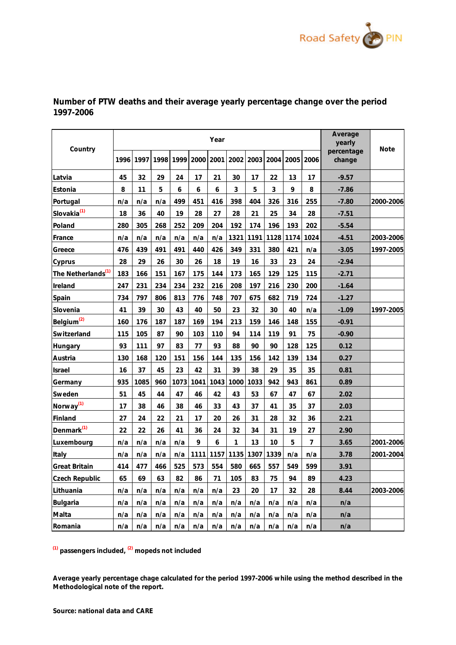

| Country                        |      |      |      | Average<br>yearly | Note      |      |      |      |      |      |      |                      |           |
|--------------------------------|------|------|------|-------------------|-----------|------|------|------|------|------|------|----------------------|-----------|
|                                | 1996 | 1997 | 1998 |                   | 1999 2000 | 2001 | 2002 | 2003 | 2004 | 2005 | 2006 | percentage<br>change |           |
| Latvia                         | 45   | 32   | 29   | 24                | 17        | 21   | 30   | 17   | 22   | 13   | 17   | $-9.57$              |           |
| Estonia                        | 8    | 11   | 5    | 6                 | 6         | 6    | 3    | 5    | 3    | 9    | 8    | $-7.86$              |           |
| Portugal                       | n/a  | n/a  | n/a  | 499               | 451       | 416  | 398  | 404  | 326  | 316  | 255  | $-7.80$              | 2000-2006 |
| Slovakia <sup>(1)</sup>        | 18   | 36   | 40   | 19                | 28        | 27   | 28   | 21   | 25   | 34   | 28   | $-7.51$              |           |
| Poland                         | 280  | 305  | 268  | 252               | 209       | 204  | 192  | 174  | 196  | 193  | 202  | $-5.54$              |           |
| France                         | n/a  | n/a  | n/a  | n/a               | n/a       | n/a  | 1321 | 1191 | 1128 | 1174 | 1024 | $-4.51$              | 2003-2006 |
| Greece                         | 476  | 439  | 491  | 491               | 440       | 426  | 349  | 331  | 380  | 421  | n/a  | $-3.05$              | 1997-2005 |
| Cyprus                         | 28   | 29   | 26   | 30                | 26        | 18   | 19   | 16   | 33   | 23   | 24   | $-2.94$              |           |
| The Netherlands <sup>(1)</sup> | 183  | 166  | 151  | 167               | 175       | 144  | 173  | 165  | 129  | 125  | 115  | $-2.71$              |           |
| Ireland                        | 247  | 231  | 234  | 234               | 232       | 216  | 208  | 197  | 216  | 230  | 200  | $-1.64$              |           |
| Spain                          | 734  | 797  | 806  | 813               | 776       | 748  | 707  | 675  | 682  | 719  | 724  | $-1.27$              |           |
| Slovenia                       | 41   | 39   | 30   | 43                | 40        | 50   | 23   | 32   | 30   | 40   | n/a  | $-1.09$              | 1997-2005 |
| Belgium <sup>(2)</sup>         | 160  | 176  | 187  | 187               | 169       | 194  | 213  | 159  | 146  | 148  | 155  | $-0.91$              |           |
| Switzerland                    | 115  | 105  | 87   | 90                | 103       | 110  | 94   | 114  | 119  | 91   | 75   | $-0.90$              |           |
| Hungary                        | 93   | 111  | 97   | 83                | 77        | 93   | 88   | 90   | 90   | 128  | 125  | 0.12                 |           |
| Austria                        | 130  | 168  | 120  | 151               | 156       | 144  | 135  | 156  | 142  | 139  | 134  | 0.27                 |           |
| Israel                         | 16   | 37   | 45   | 23                | 42        | 31   | 39   | 38   | 29   | 35   | 35   | 0.81                 |           |
| Germany                        | 935  | 1085 | 960  | 1073              | 1041      | 1043 | 1000 | 1033 | 942  | 943  | 861  | 0.89                 |           |
| Sweden                         | 51   | 45   | 44   | 47                | 46        | 42   | 43   | 53   | 67   | 47   | 67   | 2.02                 |           |
| Norway <sup>(1)</sup>          | 17   | 38   | 46   | 38                | 46        | 33   | 43   | 37   | 41   | 35   | 37   | 2.03                 |           |
| Finland                        | 27   | 24   | 22   | 21                | 17        | 20   | 26   | 31   | 28   | 32   | 36   | 2.21                 |           |
| Denmark <sup>(1)</sup>         | 22   | 22   | 26   | 41                | 36        | 24   | 32   | 34   | 31   | 19   | 27   | 2.90                 |           |
| Luxembourg                     | n/a  | n/a  | n/a  | n/a               | 9         | 6    |      | 13   | 10   | 5    | 7    | 3.65                 | 2001-2006 |
| Italy                          | n/a  | n/a  | n/a  | n/a               | 1111      | 1157 | 1135 | 1307 | 1339 | n/a  | n/a  | 3.78                 | 2001-2004 |
| Great Britain                  | 414  | 477  | 466  | 525               | 573       | 554  | 580  | 665  | 557  | 549  | 599  | 3.91                 |           |
| Czech Republic                 | 65   | 69   | 63   | 82                | 86        | 71   | 105  | 83   | 75   | 94   | 89   | 4.23                 |           |
| Lithuania                      | n/a  | n/a  | n/a  | n/a               | n/a       | n/a  | 23   | 20   | 17   | 32   | 28   | 8.44                 | 2003-2006 |
| Bulgaria                       | n/a  | n/a  | n/a  | n/a               | n/a       | n/a  | n/a  | n/a  | n/a  | n/a  | n/a  | n/a                  |           |
| Malta                          | n/a  | n/a  | n/a  | n/a               | n/a       | n/a  | n/a  | n/a  | n/a  | n/a  | n/a  | n/a                  |           |
| Romania                        | n/a  | n/a  | n/a  | n/a               | n/a       | n/a  | n/a  | n/a  | n/a  | n/a  | n/a  | n/a                  |           |

**Number of PTW deaths and their average yearly percentage change over the period 1997-2006**

**(1) passengers included, (2) mopeds not included**

**Average yearly percentage chage calculated for the period 1997-2006 while using the method described in the Methodological note of the report.**